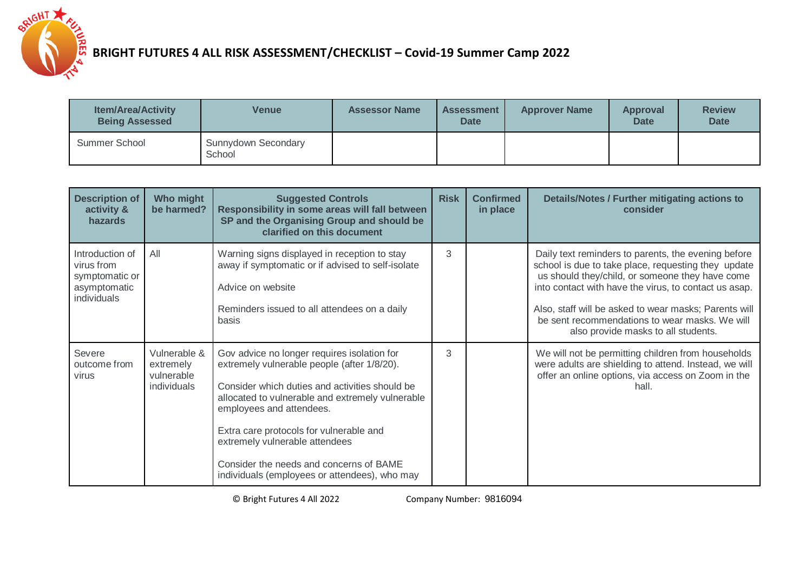

| <b>Item/Area/Activity</b><br><b>Being Assessed</b> | <b>Venue</b>                  | <b>Assessor Name</b> | <b>Assessment</b><br><b>Date</b> | <b>Approver Name</b> | <b>Approval</b><br><b>Date</b> | <b>Review</b><br><b>Date</b> |
|----------------------------------------------------|-------------------------------|----------------------|----------------------------------|----------------------|--------------------------------|------------------------------|
| Summer School                                      | Sunnydown Secondary<br>School |                      |                                  |                      |                                |                              |

| <b>Description of</b><br>activity &<br>hazards                                 | Who might<br>be harmed?                                | <b>Suggested Controls</b><br>Responsibility in some areas will fall between<br>SP and the Organising Group and should be<br>clarified on this document                                                                                                                                                                                                                                                | <b>Risk</b> | <b>Confirmed</b><br>in place | Details/Notes / Further mitigating actions to<br>consider                                                                                                                                                                                                                                                                                                                |
|--------------------------------------------------------------------------------|--------------------------------------------------------|-------------------------------------------------------------------------------------------------------------------------------------------------------------------------------------------------------------------------------------------------------------------------------------------------------------------------------------------------------------------------------------------------------|-------------|------------------------------|--------------------------------------------------------------------------------------------------------------------------------------------------------------------------------------------------------------------------------------------------------------------------------------------------------------------------------------------------------------------------|
| Introduction of<br>virus from<br>symptomatic or<br>asymptomatic<br>individuals | All                                                    | Warning signs displayed in reception to stay<br>away if symptomatic or if advised to self-isolate<br>Advice on website<br>Reminders issued to all attendees on a daily<br>basis                                                                                                                                                                                                                       | 3           |                              | Daily text reminders to parents, the evening before<br>school is due to take place, requesting they update<br>us should they/child, or someone they have come<br>into contact with have the virus, to contact us asap.<br>Also, staff will be asked to wear masks; Parents will<br>be sent recommendations to wear masks. We will<br>also provide masks to all students. |
| Severe<br>outcome from<br>virus                                                | Vulnerable &<br>extremely<br>vulnerable<br>individuals | Gov advice no longer requires isolation for<br>extremely vulnerable people (after 1/8/20).<br>Consider which duties and activities should be<br>allocated to vulnerable and extremely vulnerable<br>employees and attendees.<br>Extra care protocols for vulnerable and<br>extremely vulnerable attendees<br>Consider the needs and concerns of BAME<br>individuals (employees or attendees), who may | 3           |                              | We will not be permitting children from households<br>were adults are shielding to attend. Instead, we will<br>offer an online options, via access on Zoom in the<br>hall.                                                                                                                                                                                               |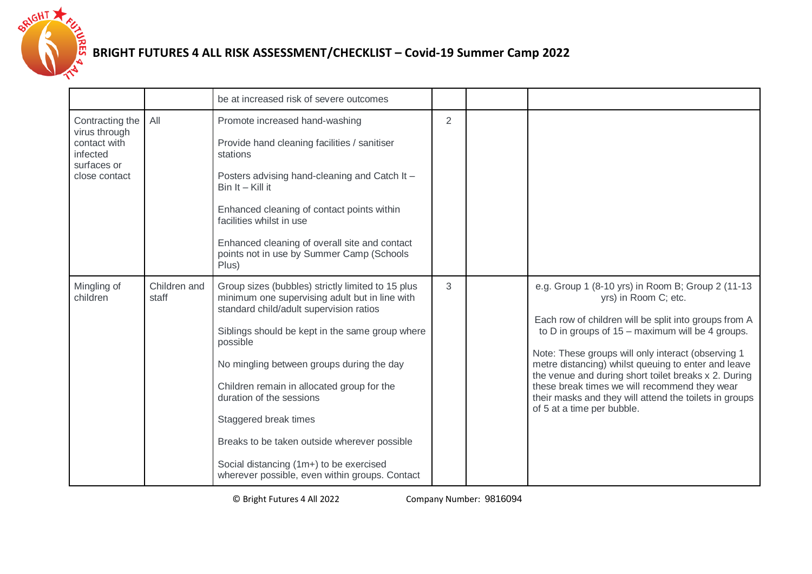

|                                                                                              |                       | be at increased risk of severe outcomes                                                                                                                                                                                                                                                                                                                                                                                                                                                                    |   |                                                                                                                                                                                                                                                                                                                                                                                                                                                                                                        |
|----------------------------------------------------------------------------------------------|-----------------------|------------------------------------------------------------------------------------------------------------------------------------------------------------------------------------------------------------------------------------------------------------------------------------------------------------------------------------------------------------------------------------------------------------------------------------------------------------------------------------------------------------|---|--------------------------------------------------------------------------------------------------------------------------------------------------------------------------------------------------------------------------------------------------------------------------------------------------------------------------------------------------------------------------------------------------------------------------------------------------------------------------------------------------------|
| Contracting the<br>virus through<br>contact with<br>infected<br>surfaces or<br>close contact | All                   | Promote increased hand-washing<br>Provide hand cleaning facilities / sanitiser<br>stations<br>Posters advising hand-cleaning and Catch It -<br>$Bin It - Kill it$<br>Enhanced cleaning of contact points within<br>facilities whilst in use<br>Enhanced cleaning of overall site and contact<br>points not in use by Summer Camp (Schools<br>Plus)                                                                                                                                                         | 2 |                                                                                                                                                                                                                                                                                                                                                                                                                                                                                                        |
| Mingling of<br>children                                                                      | Children and<br>staff | Group sizes (bubbles) strictly limited to 15 plus<br>minimum one supervising adult but in line with<br>standard child/adult supervision ratios<br>Siblings should be kept in the same group where<br>possible<br>No mingling between groups during the day<br>Children remain in allocated group for the<br>duration of the sessions<br>Staggered break times<br>Breaks to be taken outside wherever possible<br>Social distancing (1m+) to be exercised<br>wherever possible, even within groups. Contact | 3 | e.g. Group 1 (8-10 yrs) in Room B; Group 2 (11-13<br>yrs) in Room C; etc.<br>Each row of children will be split into groups from A<br>to D in groups of $15 -$ maximum will be 4 groups.<br>Note: These groups will only interact (observing 1<br>metre distancing) whilst queuing to enter and leave<br>the venue and during short toilet breaks x 2. During<br>these break times we will recommend they wear<br>their masks and they will attend the toilets in groups<br>of 5 at a time per bubble. |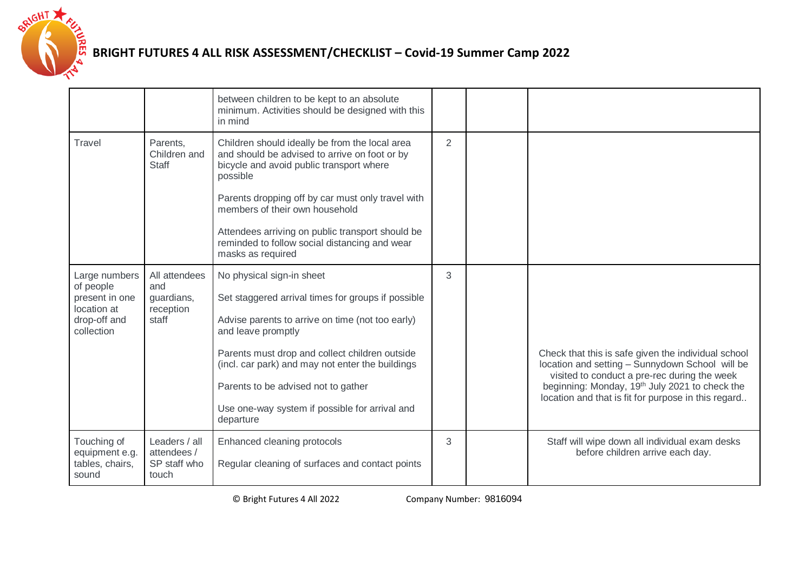

|                                                                                           |                                                          | between children to be kept to an absolute<br>minimum. Activities should be designed with this<br>in mind                                                                                                                                                                                                                                                                |                |                                                                                                                                                                                                                                                                             |
|-------------------------------------------------------------------------------------------|----------------------------------------------------------|--------------------------------------------------------------------------------------------------------------------------------------------------------------------------------------------------------------------------------------------------------------------------------------------------------------------------------------------------------------------------|----------------|-----------------------------------------------------------------------------------------------------------------------------------------------------------------------------------------------------------------------------------------------------------------------------|
| Travel                                                                                    | Parents,<br>Children and<br><b>Staff</b>                 | Children should ideally be from the local area<br>and should be advised to arrive on foot or by<br>bicycle and avoid public transport where<br>possible<br>Parents dropping off by car must only travel with<br>members of their own household<br>Attendees arriving on public transport should be<br>reminded to follow social distancing and wear<br>masks as required | $\overline{2}$ |                                                                                                                                                                                                                                                                             |
| Large numbers<br>of people<br>present in one<br>location at<br>drop-off and<br>collection | All attendees<br>and<br>guardians,<br>reception<br>staff | No physical sign-in sheet<br>Set staggered arrival times for groups if possible<br>Advise parents to arrive on time (not too early)<br>and leave promptly<br>Parents must drop and collect children outside<br>(incl. car park) and may not enter the buildings<br>Parents to be advised not to gather<br>Use one-way system if possible for arrival and<br>departure    | 3              | Check that this is safe given the individual school<br>location and setting - Sunnydown School will be<br>visited to conduct a pre-rec during the week<br>beginning: Monday, 19 <sup>th</sup> July 2021 to check the<br>location and that is fit for purpose in this regard |
| Touching of<br>equipment e.g.<br>tables, chairs,<br>sound                                 | Leaders / all<br>attendees /<br>SP staff who<br>touch    | Enhanced cleaning protocols<br>Regular cleaning of surfaces and contact points                                                                                                                                                                                                                                                                                           | 3              | Staff will wipe down all individual exam desks<br>before children arrive each day.                                                                                                                                                                                          |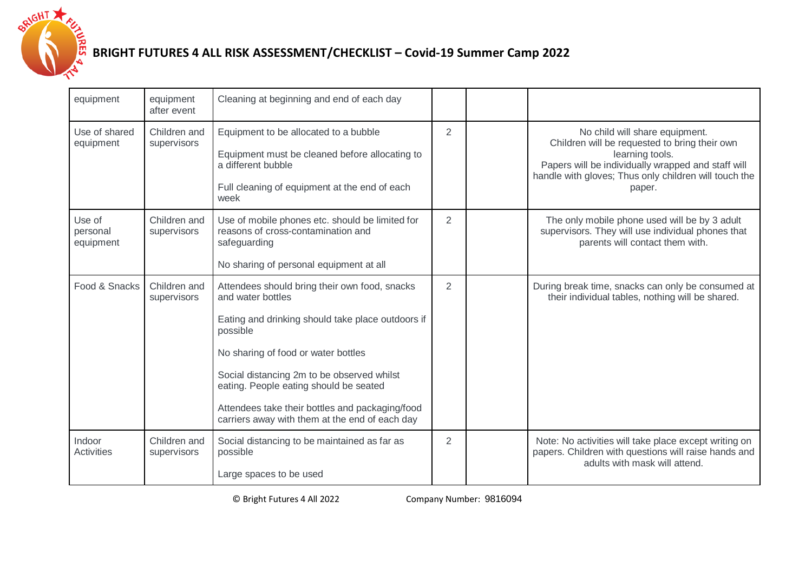

| equipment                       | equipment<br>after event    | Cleaning at beginning and end of each day                                                                                                                                                                                                                                                                                                                               |                |                                                                                                                                                                                                                             |
|---------------------------------|-----------------------------|-------------------------------------------------------------------------------------------------------------------------------------------------------------------------------------------------------------------------------------------------------------------------------------------------------------------------------------------------------------------------|----------------|-----------------------------------------------------------------------------------------------------------------------------------------------------------------------------------------------------------------------------|
| Use of shared<br>equipment      | Children and<br>supervisors | Equipment to be allocated to a bubble<br>Equipment must be cleaned before allocating to<br>a different bubble<br>Full cleaning of equipment at the end of each<br>week                                                                                                                                                                                                  | $\overline{2}$ | No child will share equipment.<br>Children will be requested to bring their own<br>learning tools.<br>Papers will be individually wrapped and staff will<br>handle with gloves; Thus only children will touch the<br>paper. |
| Use of<br>personal<br>equipment | Children and<br>supervisors | Use of mobile phones etc. should be limited for<br>reasons of cross-contamination and<br>safeguarding<br>No sharing of personal equipment at all                                                                                                                                                                                                                        | $\overline{2}$ | The only mobile phone used will be by 3 adult<br>supervisors. They will use individual phones that<br>parents will contact them with.                                                                                       |
| Food & Snacks                   | Children and<br>supervisors | Attendees should bring their own food, snacks<br>and water bottles<br>Eating and drinking should take place outdoors if<br>possible<br>No sharing of food or water bottles<br>Social distancing 2m to be observed whilst<br>eating. People eating should be seated<br>Attendees take their bottles and packaging/food<br>carriers away with them at the end of each day | $\overline{2}$ | During break time, snacks can only be consumed at<br>their individual tables, nothing will be shared.                                                                                                                       |
| Indoor<br>Activities            | Children and<br>supervisors | Social distancing to be maintained as far as<br>possible<br>Large spaces to be used                                                                                                                                                                                                                                                                                     | $\overline{2}$ | Note: No activities will take place except writing on<br>papers. Children with questions will raise hands and<br>adults with mask will attend.                                                                              |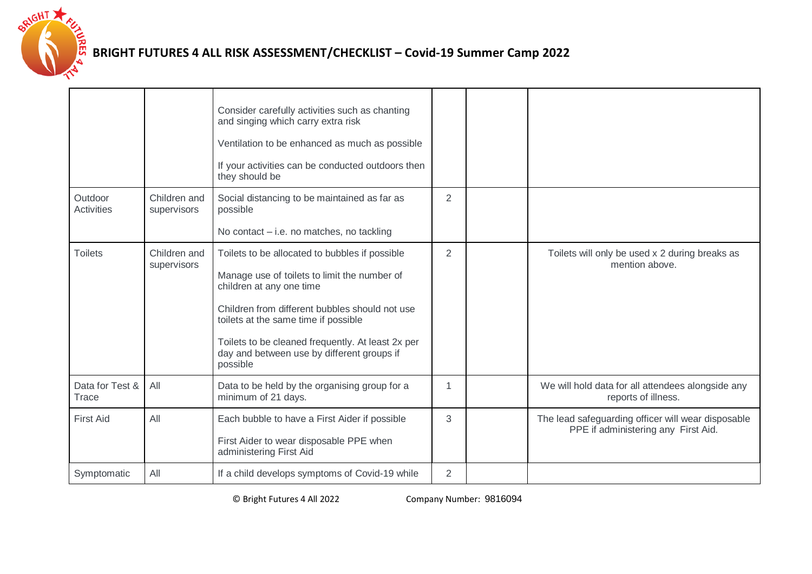

|                              |                             | Consider carefully activities such as chanting<br>and singing which carry extra risk<br>Ventilation to be enhanced as much as possible<br>If your activities can be conducted outdoors then<br>they should be                                                                                                                       |                |                                                                                           |
|------------------------------|-----------------------------|-------------------------------------------------------------------------------------------------------------------------------------------------------------------------------------------------------------------------------------------------------------------------------------------------------------------------------------|----------------|-------------------------------------------------------------------------------------------|
| Outdoor<br><b>Activities</b> | Children and<br>supervisors | Social distancing to be maintained as far as<br>possible<br>No contact - i.e. no matches, no tackling                                                                                                                                                                                                                               | 2              |                                                                                           |
| <b>Toilets</b>               | Children and<br>supervisors | Toilets to be allocated to bubbles if possible<br>Manage use of toilets to limit the number of<br>children at any one time<br>Children from different bubbles should not use<br>toilets at the same time if possible<br>Toilets to be cleaned frequently. At least 2x per<br>day and between use by different groups if<br>possible | $\overline{2}$ | Toilets will only be used x 2 during breaks as<br>mention above.                          |
| Data for Test &<br>Trace     | All                         | Data to be held by the organising group for a<br>minimum of 21 days.                                                                                                                                                                                                                                                                | 1              | We will hold data for all attendees alongside any<br>reports of illness.                  |
| <b>First Aid</b>             | All                         | Each bubble to have a First Aider if possible<br>First Aider to wear disposable PPE when<br>administering First Aid                                                                                                                                                                                                                 | 3              | The lead safeguarding officer will wear disposable<br>PPE if administering any First Aid. |
| Symptomatic                  | All                         | If a child develops symptoms of Covid-19 while                                                                                                                                                                                                                                                                                      | $\overline{2}$ |                                                                                           |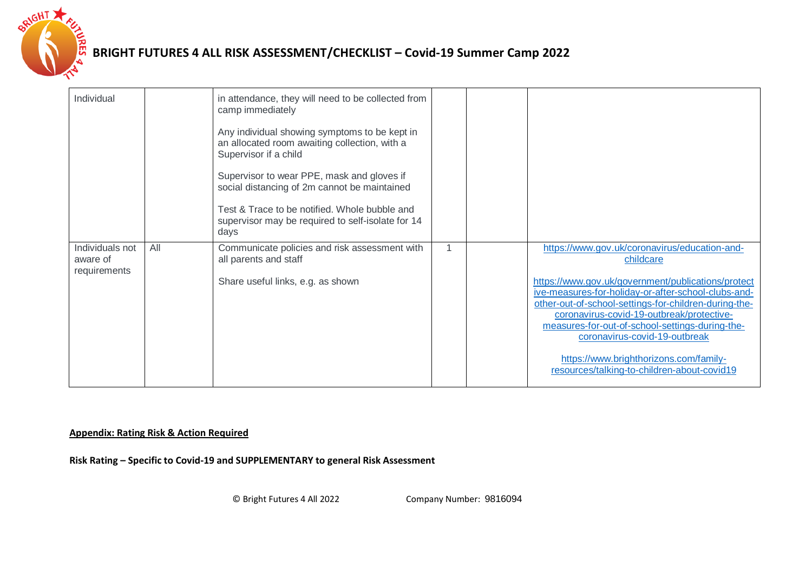

| Individual                                  |     | in attendance, they will need to be collected from<br>camp immediately<br>Any individual showing symptoms to be kept in<br>an allocated room awaiting collection, with a<br>Supervisor if a child<br>Supervisor to wear PPE, mask and gloves if<br>social distancing of 2m cannot be maintained<br>Test & Trace to be notified. Whole bubble and<br>supervisor may be required to self-isolate for 14<br>days |  |                                                                                                                                                                                                                                                                                                                                                                                                                                                            |
|---------------------------------------------|-----|---------------------------------------------------------------------------------------------------------------------------------------------------------------------------------------------------------------------------------------------------------------------------------------------------------------------------------------------------------------------------------------------------------------|--|------------------------------------------------------------------------------------------------------------------------------------------------------------------------------------------------------------------------------------------------------------------------------------------------------------------------------------------------------------------------------------------------------------------------------------------------------------|
| Individuals not<br>aware of<br>requirements | All | Communicate policies and risk assessment with<br>all parents and staff<br>Share useful links, e.g. as shown                                                                                                                                                                                                                                                                                                   |  | https://www.gov.uk/coronavirus/education-and-<br>childcare<br>https://www.gov.uk/government/publications/protect<br>ive-measures-for-holiday-or-after-school-clubs-and-<br>other-out-of-school-settings-for-children-during-the-<br>coronavirus-covid-19-outbreak/protective-<br>measures-for-out-of-school-settings-during-the-<br>coronavirus-covid-19-outbreak<br>https://www.brighthorizons.com/family-<br>resources/talking-to-children-about-covid19 |

#### **Appendix: Rating Risk & Action Required**

**Risk Rating – Specific to Covid-19 and SUPPLEMENTARY to general Risk Assessment**